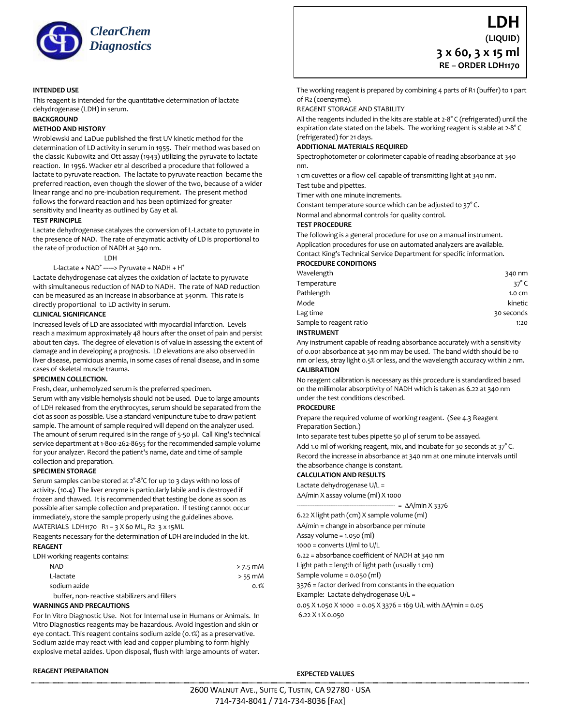

#### **INTENDED USE**

This reagent is intended for the quantitative determination of lactate dehydrogenase (LDH) in serum.

## **BACKGROUND**

#### **METHOD AND HISTORY**

Wroblewski and LaDue published the first UV kinetic method for the determination of LD activity in serum in 1955. Their method was based on the classic Kubowitz and Ott assay (1943) utilizing the pyruvate to lactate reaction. In 1956. Wacker etr al described a procedure that followed a lactate to pyruvate reaction. The lactate to pyruvate reaction became the preferred reaction, even though the slower of the two, because of a wider linear range and no pre-incubation requirement. The present method follows the forward reaction and has been optimized for greater sensitivity and linearity as outlined by Gay et al.

#### **TEST PRINCIPLE**

Lactate dehydrogenase catalyzes the conversion of L-Lactate to pyruvate in the presence of NAD. The rate of enzymatic activity of LD is proportional to the rate of production of NADH at 340 nm.

#### LDH

#### L-lactate + NAD<sup>+</sup> ------> Pyruvate + NADH + H<sup>+</sup>

Lactate dehydrogenase cat alyzes the oxidation of lactate to pyruvate with simultaneous reduction of NAD to NADH. The rate of NAD reduction can be measured as an increase in absorbance at 340nm. This rate is directly proportional to LD activity in serum.

#### **CLINICAL SIGNIFICANCE**

Increased levels of LD are associated with myocardial infarction. Levels reach a maximum approximately 48 hours after the onset of pain and persist about ten days. The degree of elevation is of value in assessing the extent of damage and in developing a prognosis. LD elevations are also observed in liver disease, pemicious anemia, in some cases of renal disease, and in some cases of skeletal muscle trauma.

#### **SPECIMEN COLLECTION.**

Fresh, clear, unhemolyzed serum is the preferred specimen.

Serum with any visible hemolysis should not be used. Due to large amounts of LDH released from the erythrocytes, serum should be separated from the clot as soon as possible. Use a standard venipuncture tube to draw patient sample. The amount of sample required will depend on the analyzer used. The amount of serum required is in the range of 5-50 µl. Call King's technical service department at 1-800-262-8655 for the recommended sample volume for your analyzer. Record the patient's name, date and time of sample collection and preparation.

#### **SPECIMEN STORAGE**

Serum samples can be stored at 2°-8°C for up to 3 days with no loss of activity. (10.4) The liver enzyme is particularly labile and is destroyed if frozen and thawed. It is recommended that testing be done as soon as possible after sample collection and preparation. If testing cannot occur immediately, store the sample properly using the guidelines above.

MATERIALS LDH1170 R1 – 3 X 60 ML, R2 3 x 15ML

Reagents necessary for the determination of LDH are included in the kit. **REAGENT**

#### LDH working reagents contains:

| NAD                                          | $>$ 7.5 mM |
|----------------------------------------------|------------|
| L-lactate                                    | $> 55$ mM  |
| sodium azide                                 | 0.1%       |
| buffer, non-reactive stabilizers and fillers |            |

#### **WARNINGS AND PRECAUTIONS**

For In Vitro Diagnostic Use. Not for Internal use in Humans or Animals. In Vitro Diagnostics reagents may be hazardous. Avoid ingestion and skin or eye contact. This reagent contains sodium azide (0.1%) as a preservative. Sodium azide may react with lead and copper plumbing to form highly explosive metal azides. Upon disposal, flush with large amounts of water.

# **LDH (LIQUID) 3 x 60, 3 x 15 ml RE – ORDER LDH1170**

The working reagent is prepared by combining 4 parts of R1 (buffer) to 1 part of R2 (coenzyme).

REAGENT STORAGE AND STABILITY

All the reagents included in the kits are stable at 2-8° C (refrigerated) until the expiration date stated on the labels. The working reagent is stable at 2-8° C (refrigerated) for 21 days.

#### **ADDITIONAL MATERIALS REQUIRED**

Spectrophotometer or colorimeter capable of reading absorbance at 340 nm.

1 cm cuvettes or a flow cell capable of transmitting light at 340 nm. Test tube and pipettes.

Timer with one minute increments.

Constant temperature source which can be adjusted to 37° C.

Normal and abnormal controls for quality control.

#### **TEST PROCEDURE**

The following is a general procedure for use on a manual instrument. Application procedures for use on automated analyzers are available. Contact King's Technical Service Department for specific information. **PROCEDURE CONDITIONS**

| Wavelength              | 340 nm           |
|-------------------------|------------------|
| Temperature             | 37 $^{\circ}$ C  |
| Pathlength              | $1.0 \text{ cm}$ |
| Mode                    | kinetic          |
| Lag time                | 30 seconds       |
| Sample to reagent ratio | 1:20             |
|                         |                  |

#### **INSTRUMENT**

Any instrument capable of reading absorbance accurately with a sensitivity of 0.001 absorbance at 340 nm may be used. The band width should be 10 nm or less, stray light 0.5% or less, and the wavelength accuracy within 2 nm. **CALIBRATION**

No reagent calibration is necessary as this procedure is standardized based on the millimolar absorptivity of NADH which is taken as 6.22 at 340 nm under the test conditions described.

#### **PROCEDURE**

Prepare the required volume of working reagent. (See 4.3 Reagent Preparation Section.)

Into separate test tubes pipette 50 µl of serum to be assayed.

Add 1.0 ml of working reagent, mix, and incubate for 30 seconds at 37°C. Record the increase in absorbance at 340 nm at one minute intervals until the absorbance change is constant.

#### **CALCULATION AND RESULTS**

Lactate dehydrogenase U/L =

A/min X assay volume (ml) X 1000

 $- = \Delta A / \text{min} X 3376$ 

6.22 X light path (cm) X sample volume (ml)

A/min = change in absorbance per minute

Assay volume = 1.050 (ml)

1000 = converts U/ml to U/L

6.22 = absorbance coefficient of NADH at 340 nm

Light path = length of light path (usually 1 cm)

Sample volume = 0.050 (ml)

3376 = factor derived from constants in the equation

Example: Lactate dehydrogenase U/L =

0.05 X 1.050 X 1000 = 0.05 X 3376 = 169 U/L with  $\Delta$ A/min = 0.05 6.22 X 1 X 0.050

**EXPECTED VALUES**